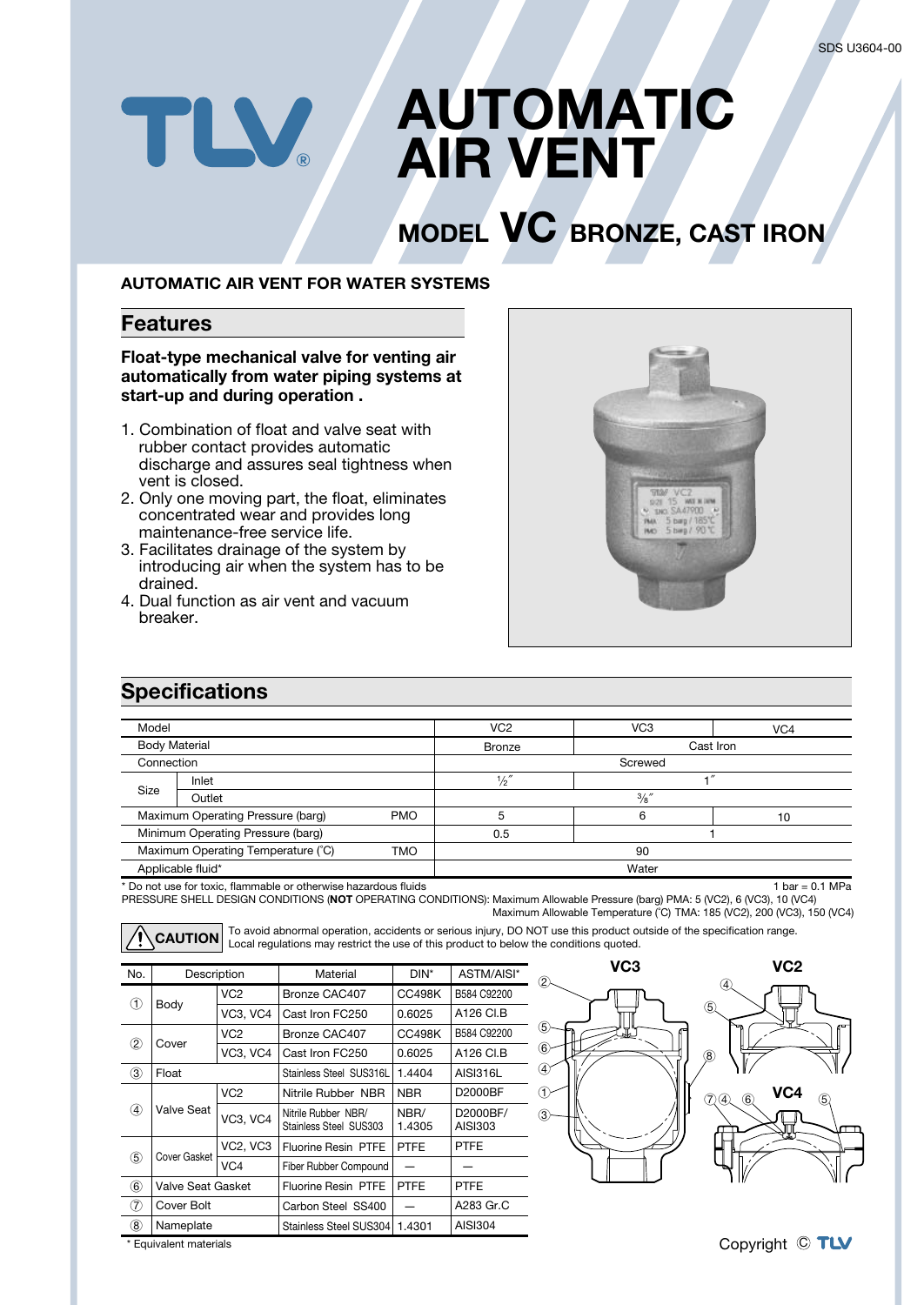# **AUTOMATIC** TLV. **AIR VENT**

# **MODEL VC BRONZE, CAST IRON**

#### **AUTOMATIC AIR VENT FOR WATER SYSTEMS**

#### **Features**

**Float-type mechanical valve for venting air automatically from water piping systems at start-up and during operation .**

- 1. Combination of float and valve seat with rubber contact provides automatic discharge and assures seal tightness when vent is closed.
- 2. Only one moving part, the float, eliminates concentrated wear and provides long maintenance-free service life.
- 3. Facilitates drainage of the system by introducing air when the system has to be drained.
- 4. Dual function as air vent and vacuum breaker.



## **Specifications**

| Model                                            |        |   | VC <sub>2</sub> | VC <sub>3</sub> | VC <sub>4</sub> |  |  |
|--------------------------------------------------|--------|---|-----------------|-----------------|-----------------|--|--|
| <b>Body Material</b>                             |        |   | <b>Bronze</b>   | Cast Iron       |                 |  |  |
| Connection                                       |        |   | Screwed         |                 |                 |  |  |
|                                                  | Inlet  |   | $\frac{1}{2}$ " |                 |                 |  |  |
| Size                                             | Outlet |   | $\frac{3}{8}$ " |                 |                 |  |  |
| Maximum Operating Pressure (barg)<br><b>PMO</b>  |        | 5 |                 | 10              |                 |  |  |
| Minimum Operating Pressure (barg)                |        |   | 0.5             |                 |                 |  |  |
| Maximum Operating Temperature (°C)<br><b>TMO</b> |        |   | 90              |                 |                 |  |  |
| Applicable fluid*                                |        |   | Water           |                 |                 |  |  |

\* Do not use for toxic, flammable or otherwise hazardous fluids 1 bar =  $0.1$  MPa PRESSURE SHELL DESIGN CONDITIONS (**NOT** OPERATING CONDITIONS): Maximum Allowable Pressure (barg) PMA: 5 (VC2), 6 (VC3), 10 (VC4) Maximum Allowable Temperature (˚C) TMA: 185 (VC2), 200 (VC3), 150 (VC4)

To avoid abnormal operation, accidents or serious injury, DO NOT use this product outside of the specification range. Local regulations may restrict the use of this product to below the conditions quoted. **CAUTION**

| No.           | Description       |                 | Material                                      | DIN*           | ASTM/AISI*          |
|---------------|-------------------|-----------------|-----------------------------------------------|----------------|---------------------|
| (T)           | Body              | VC <sub>2</sub> | Bronze CAC407                                 | CC498K         | B584 C92200         |
|               |                   | VC3, VC4        | Cast Iron FC250                               | 0.6025         | A126 CI.B           |
| $\circled{2}$ | Cover             | VC <sub>2</sub> | Bronze CAC407                                 | <b>CC498K</b>  | B584 C92200         |
|               |                   | VC3, VC4        | Cast Iron FC250                               | 0.6025         | A126 CI.B           |
| ③             | Float             |                 | Stainless Steel SUS316L                       | 1.4404         | AISI316L            |
| $\circledast$ | Valve Seat        | VC <sub>2</sub> | Nitrile Rubber NBR                            | <b>NBR</b>     | D2000BF             |
|               |                   | <b>VC3, VC4</b> | Nitrile Rubber NBR/<br>Stainless Steel SUS303 | NBR/<br>1.4305 | D2000BF/<br>AISI303 |
| $\circledS$   | Cover Gasket      | <b>VC2, VC3</b> | Fluorine Resin PTFE                           | <b>PTFE</b>    | <b>PTFE</b>         |
|               |                   | VC4             | Fiber Rubber Compound                         |                |                     |
| 6             | Valve Seat Gasket |                 | <b>Fluorine Resin PTFE</b>                    | <b>PTFE</b>    | <b>PTFE</b>         |
| (7)           | Cover Bolt        |                 | Carbon Steel SS400                            |                | A283 Gr.C           |
| (8)           | Nameplate         |                 | Stainless Steel SUS304<br>1.4301              |                | AISI304             |



\* Equivalent materials

Copyright © TLV